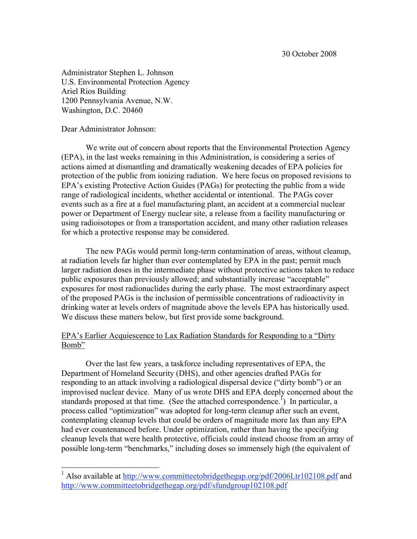Administrator Stephen L. Johnson U.S. Environmental Protection Agency Ariel Rios Building 1200 Pennsylvania Avenue, N.W. Washington, D.C. 20460

Dear Administrator Johnson:

We write out of concern about reports that the Environmental Protection Agency (EPA), in the last weeks remaining in this Administration, is considering a series of actions aimed at dismantling and dramatically weakening decades of EPA policies for protection of the public from ionizing radiation. We here focus on proposed revisions to EPA's existing Protective Action Guides (PAGs) for protecting the public from a wide range of radiological incidents, whether accidental or intentional. The PAGs cover events such as a fire at a fuel manufacturing plant, an accident at a commercial nuclear power or Department of Energy nuclear site, a release from a facility manufacturing or using radioisotopes or from a transportation accident, and many other radiation releases for which a protective response may be considered.

The new PAGs would permit long-term contamination of areas, without cleanup, at radiation levels far higher than ever contemplated by EPA in the past; permit much larger radiation doses in the intermediate phase without protective actions taken to reduce public exposures than previously allowed; and substantially increase "acceptable" exposures for most radionuclides during the early phase. The most extraordinary aspect of the proposed PAGs is the inclusion of permissible concentrations of radioactivity in drinking water at levels orders of magnitude above the levels EPA has historically used. We discuss these matters below, but first provide some background.

## EPA's Earlier Acquiescence to Lax Radiation Standards for Responding to a "Dirty Bomb"

Over the last few years, a taskforce including representatives of EPA, the Department of Homeland Security (DHS), and other agencies drafted PAGs for responding to an attack involving a radiological dispersal device ("dirty bomb") or an improvised nuclear device. Many of us wrote DHS and EPA deeply concerned about the standards proposed at that time. (See the attached correspondence.<sup>1</sup>) In particular, a process called "optimization" was adopted for long-term cleanup after such an event, contemplating cleanup levels that could be orders of magnitude more lax than any EPA had ever countenanced before. Under optimization, rather than having the specifying cleanup levels that were health protective, officials could instead choose from an array of possible long-term "benchmarks," including doses so immensely high (the equivalent of

<sup>&</sup>lt;sup>1</sup> Also available at <u>http://www.committeetobridgethegap.org/pdf/2006Ltr102108.pdf</u> and http://www.committeetobridgethegap.org/pdf/sfundgroup102108.pdf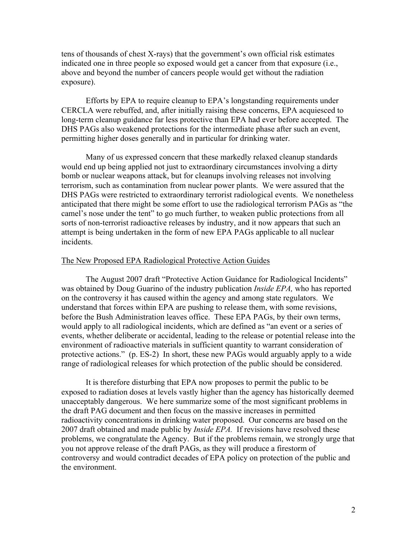tens of thousands of chest X-rays) that the government's own official risk estimates indicated one in three people so exposed would get a cancer from that exposure (i.e., above and beyond the number of cancers people would get without the radiation exposure).

Efforts by EPA to require cleanup to EPA's longstanding requirements under CERCLA were rebuffed, and, after initially raising these concerns, EPA acquiesced to long-term cleanup guidance far less protective than EPA had ever before accepted. The DHS PAGs also weakened protections for the intermediate phase after such an event, permitting higher doses generally and in particular for drinking water.

Many of us expressed concern that these markedly relaxed cleanup standards would end up being applied not just to extraordinary circumstances involving a dirty bomb or nuclear weapons attack, but for cleanups involving releases not involving terrorism, such as contamination from nuclear power plants. We were assured that the DHS PAGs were restricted to extraordinary terrorist radiological events. We nonetheless anticipated that there might be some effort to use the radiological terrorism PAGs as "the camel's nose under the tent" to go much further, to weaken public protections from all sorts of non-terrorist radioactive releases by industry, and it now appears that such an attempt is being undertaken in the form of new EPA PAGs applicable to all nuclear incidents.

#### The New Proposed EPA Radiological Protective Action Guides

The August 2007 draft "Protective Action Guidance for Radiological Incidents" was obtained by Doug Guarino of the industry publication *Inside EPA,* who has reported on the controversy it has caused within the agency and among state regulators. We understand that forces within EPA are pushing to release them, with some revisions, before the Bush Administration leaves office. These EPA PAGs, by their own terms, would apply to all radiological incidents, which are defined as "an event or a series of events, whether deliberate or accidental, leading to the release or potential release into the environment of radioactive materials in sufficient quantity to warrant consideration of protective actions." (p. ES-2) In short, these new PAGs would arguably apply to a wide range of radiological releases for which protection of the public should be considered.

It is therefore disturbing that EPA now proposes to permit the public to be exposed to radiation doses at levels vastly higher than the agency has historically deemed unacceptably dangerous. We here summarize some of the most significant problems in the draft PAG document and then focus on the massive increases in permitted radioactivity concentrations in drinking water proposed. Our concerns are based on the 2007 draft obtained and made public by *Inside EPA.* If revisions have resolved these problems, we congratulate the Agency. But if the problems remain, we strongly urge that you not approve release of the draft PAGs, as they will produce a firestorm of controversy and would contradict decades of EPA policy on protection of the public and the environment.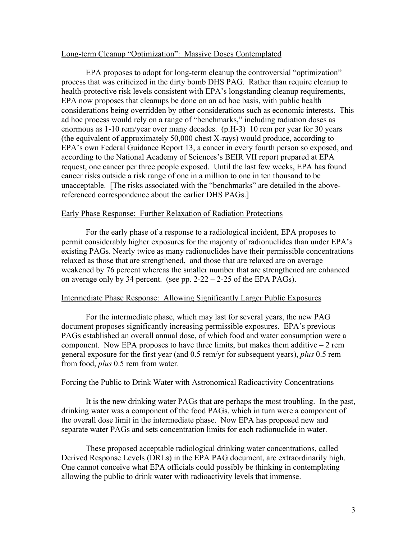### Long-term Cleanup "Optimization": Massive Doses Contemplated

EPA proposes to adopt for long-term cleanup the controversial "optimization" process that was criticized in the dirty bomb DHS PAG. Rather than require cleanup to health-protective risk levels consistent with EPA's longstanding cleanup requirements, EPA now proposes that cleanups be done on an ad hoc basis, with public health considerations being overridden by other considerations such as economic interests. This ad hoc process would rely on a range of "benchmarks," including radiation doses as enormous as 1-10 rem/year over many decades. (p.H-3) 10 rem per year for 30 years (the equivalent of approximately 50,000 chest X-rays) would produce, according to EPA's own Federal Guidance Report 13, a cancer in every fourth person so exposed, and according to the National Academy of Sciences's BEIR VII report prepared at EPA request, one cancer per three people exposed. Until the last few weeks, EPA has found cancer risks outside a risk range of one in a million to one in ten thousand to be unacceptable. [The risks associated with the "benchmarks" are detailed in the abovereferenced correspondence about the earlier DHS PAGs.]

## Early Phase Response: Further Relaxation of Radiation Protections

For the early phase of a response to a radiological incident, EPA proposes to permit considerably higher exposures for the majority of radionuclides than under EPA's existing PAGs. Nearly twice as many radionuclides have their permissible concentrations relaxed as those that are strengthened, and those that are relaxed are on average weakened by 76 percent whereas the smaller number that are strengthened are enhanced on average only by 34 percent. (see pp.  $2-22 - 2-25$  of the EPA PAGs).

## Intermediate Phase Response: Allowing Significantly Larger Public Exposures

For the intermediate phase, which may last for several years, the new PAG document proposes significantly increasing permissible exposures. EPA's previous PAGs established an overall annual dose, of which food and water consumption were a component. Now EPA proposes to have three limits, but makes them additive  $-2$  rem general exposure for the first year (and 0.5 rem/yr for subsequent years), *plus* 0.5 rem from food, *plus* 0.5 rem from water.

### Forcing the Public to Drink Water with Astronomical Radioactivity Concentrations

It is the new drinking water PAGs that are perhaps the most troubling. In the past, drinking water was a component of the food PAGs, which in turn were a component of the overall dose limit in the intermediate phase. Now EPA has proposed new and separate water PAGs and sets concentration limits for each radionuclide in water.

These proposed acceptable radiological drinking water concentrations, called Derived Response Levels (DRLs) in the EPA PAG document, are extraordinarily high. One cannot conceive what EPA officials could possibly be thinking in contemplating allowing the public to drink water with radioactivity levels that immense.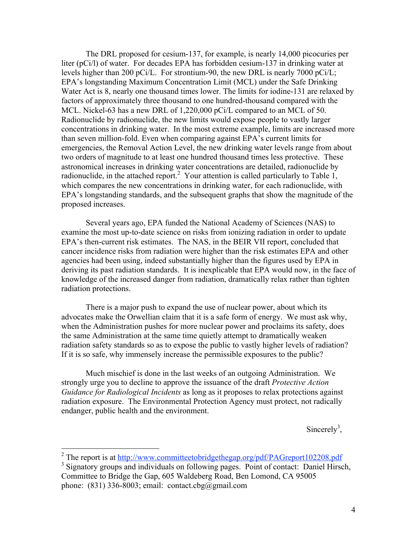The DRL proposed for cesium-137, for example, is nearly 14,000 picocuries per liter (pCi/l) of water. For decades EPA has forbidden cesium-137 in drinking water at levels higher than 200 pCi/L. For strontium-90, the new DRL is nearly 7000 pCi/L; EPA's longstanding Maximum Concentration Limit (MCL) under the Safe Drinking Water Act is 8, nearly one thousand times lower. The limits for iodine-131 are relaxed by factors of approximately three thousand to one hundred-thousand compared with the MCL. Nickel-63 has a new DRL of 1,220,000 pCi/L compared to an MCL of 50. Radionuclide by radionuclide, the new limits would expose people to vastly larger concentrations in drinking water. In the most extreme example, limits are increased more than seven million-fold. Even when comparing against EPA's current limits for emergencies, the Removal Action Level, the new drinking water levels range from about two orders of magnitude to at least one hundred thousand times less protective. These astronomical increases in drinking water concentrations are detailed, radionuclide by radionuclide, in the attached report.<sup>2</sup> Your attention is called particularly to Table 1, which compares the new concentrations in drinking water, for each radionuclide, with EPA's longstanding standards, and the subsequent graphs that show the magnitude of the proposed increases.

Several years ago, EPA funded the National Academy of Sciences (NAS) to examine the most up-to-date science on risks from ionizing radiation in order to update EPA's then-current risk estimates. The NAS, in the BEIR VII report, concluded that cancer incidence risks from radiation were higher than the risk estimates EPA and other agencies had been using, indeed substantially higher than the figures used by EPA in deriving its past radiation standards. It is inexplicable that EPA would now, in the face of knowledge of the increased danger from radiation, dramatically relax rather than tighten radiation protections.

There is a major push to expand the use of nuclear power, about which its advocates make the Orwellian claim that it is a safe form of energy. We must ask why, when the Administration pushes for more nuclear power and proclaims its safety, does the same Administration at the same time quietly attempt to dramatically weaken radiation safety standards so as to expose the public to vastly higher levels of radiation? If it is so safe, why immensely increase the permissible exposures to the public?

Much mischief is done in the last weeks of an outgoing Administration. We strongly urge you to decline to approve the issuance of the draft *Protective Action Guidance for Radiological Incidents* as long as it proposes to relax protections against radiation exposure. The Environmental Protection Agency must protect, not radically endanger, public health and the environment.

Sincerely<sup>3</sup>,

<sup>&</sup>lt;sup>2</sup> The report is at <u>http://www.committeetobridgethegap.org/pdf/PAGreport102208.pdf</u>

<sup>&</sup>lt;sup>3</sup> Signatory groups and individuals on following pages. Point of contact: Daniel Hirsch, Committee to Bridge the Gap, 605 Waldeberg Road, Ben Lomond, CA 95005 phone: (831) 336-8003; email: contact.cbg@gmail.com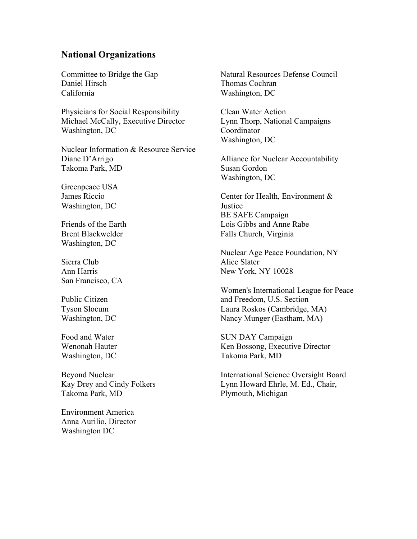# **National Organizations**

Committee to Bridge the Gap Daniel Hirsch California

Physicians for Social Responsibility Michael McCally, Executive Director Washington, DC

Nuclear Information & Resource Service Diane D'Arrigo Takoma Park, MD

Greenpeace USA James Riccio Washington, DC

Friends of the Earth Brent Blackwelder Washington, DC

Sierra Club Ann Harris San Francisco, CA

Public Citizen Tyson Slocum Washington, DC

Food and Water Wenonah Hauter Washington, DC

Beyond Nuclear Kay Drey and Cindy Folkers Takoma Park, MD

Environment America Anna Aurilio, Director Washington DC

Natural Resources Defense Council Thomas Cochran Washington, DC

Clean Water Action Lynn Thorp, National Campaigns Coordinator Washington, DC

Alliance for Nuclear Accountability Susan Gordon Washington, DC

Center for Health, Environment & **Justice** BE SAFE Campaign Lois Gibbs and Anne Rabe Falls Church, Virginia

Nuclear Age Peace Foundation, NY Alice Slater New York, NY 10028

Women's International League for Peace and Freedom, U.S. Section Laura Roskos (Cambridge, MA) Nancy Munger (Eastham, MA)

SUN DAY Campaign Ken Bossong, Executive Director Takoma Park, MD

International Science Oversight Board Lynn Howard Ehrle, M. Ed., Chair, Plymouth, Michigan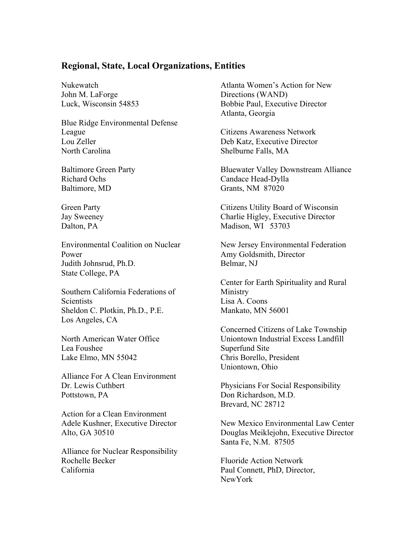# **Regional, State, Local Organizations, Entities**

Nukewatch John M. LaForge Luck, Wisconsin 54853

Blue Ridge Environmental Defense League Lou Zeller North Carolina

Baltimore Green Party Richard Ochs Baltimore, MD

Green Party Jay Sweeney Dalton, PA

Environmental Coalition on Nuclear Power Judith Johnsrud, Ph.D. State College, PA

Southern California Federations of **Scientists** Sheldon C. Plotkin, Ph.D., P.E. Los Angeles, CA

North American Water Office Lea Foushee Lake Elmo, MN 55042

Alliance For A Clean Environment Dr. Lewis Cuthbert Pottstown, PA

Action for a Clean Environment Adele Kushner, Executive Director Alto, GA 30510

Alliance for Nuclear Responsibility Rochelle Becker California

Atlanta Women's Action for New Directions (WAND) Bobbie Paul, Executive Director Atlanta, Georgia

Citizens Awareness Network Deb Katz, Executive Director Shelburne Falls, MA

Bluewater Valley Downstream Alliance Candace Head-Dylla Grants, NM 87020

Citizens Utility Board of Wisconsin Charlie Higley, Executive Director Madison, WI 53703

New Jersey Environmental Federation Amy Goldsmith, Director Belmar, NJ

Center for Earth Spirituality and Rural Ministry Lisa A. Coons Mankato, MN 56001

Concerned Citizens of Lake Township Uniontown Industrial Excess Landfill Superfund Site Chris Borello, President Uniontown, Ohio

Physicians For Social Responsibility Don Richardson, M.D. Brevard, NC 28712

New Mexico Environmental Law Center Douglas Meiklejohn, Executive Director Santa Fe, N.M. 87505

Fluoride Action Network Paul Connett, PhD, Director, NewYork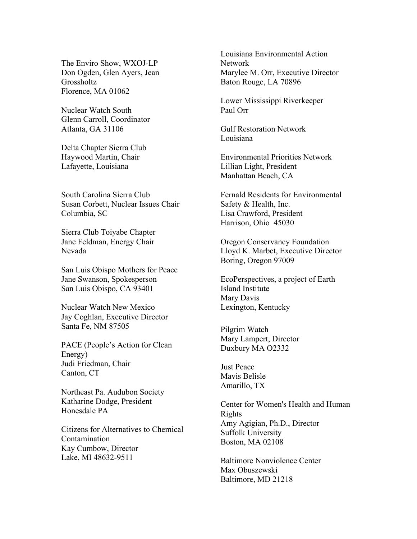The Enviro Show, WXOJ-LP Don Ogden, Glen Ayers, Jean Grossholtz Florence, MA 01062

Nuclear Watch South Glenn Carroll, Coordinator Atlanta, GA 31106

Delta Chapter Sierra Club Haywood Martin, Chair Lafayette, Louisiana

South Carolina Sierra Club Susan Corbett, Nuclear Issues Chair Columbia, SC

Sierra Club Toiyabe Chapter Jane Feldman, Energy Chair Nevada

San Luis Obispo Mothers for Peace Jane Swanson, Spokesperson San Luis Obispo, CA 93401

Nuclear Watch New Mexico Jay Coghlan, Executive Director Santa Fe, NM 87505

PACE (People's Action for Clean Energy) Judi Friedman, Chair Canton, CT

Northeast Pa. Audubon Society Katharine Dodge, President Honesdale PA

Citizens for Alternatives to Chemical Contamination Kay Cumbow, Director Lake, MI 48632-9511

Louisiana Environmental Action Network Marylee M. Orr, Executive Director Baton Rouge, LA 70896

Lower Mississippi Riverkeeper Paul Orr

Gulf Restoration Network Louisiana

Environmental Priorities Network Lillian Light, President Manhattan Beach, CA

Fernald Residents for Environmental Safety & Health, Inc. Lisa Crawford, President Harrison, Ohio 45030

Oregon Conservancy Foundation Lloyd K. Marbet, Executive Director Boring, Oregon 97009

EcoPerspectives, a project of Earth Island Institute Mary Davis Lexington, Kentucky

Pilgrim Watch Mary Lampert, Director Duxbury MA O2332

Just Peace Mavis Belisle Amarillo, TX

Center for Women's Health and Human Rights Amy Agigian, Ph.D., Director Suffolk University Boston, MA 02108

Baltimore Nonviolence Center Max Obuszewski Baltimore, MD 21218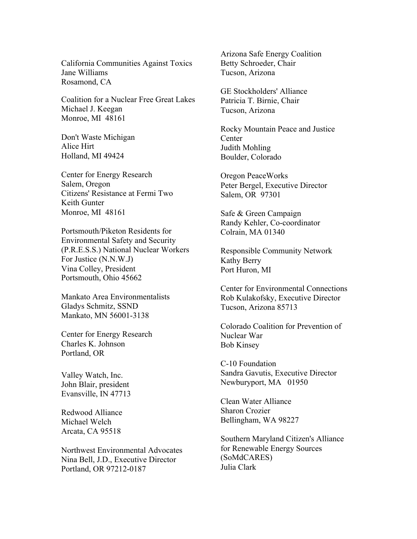California Communities Against Toxics Jane Williams Rosamond, CA

Coalition for a Nuclear Free Great Lakes Michael J. Keegan Monroe, MI 48161

Don't Waste Michigan Alice Hirt Holland, MI 49424

Center for Energy Research Salem, Oregon Citizens' Resistance at Fermi Two Keith Gunter Monroe, MI 48161

Portsmouth/Piketon Residents for Environmental Safety and Security (P.R.E.S.S.) National Nuclear Workers For Justice (N.N.W.J) Vina Colley, President Portsmouth, Ohio 45662

Mankato Area Environmentalists Gladys Schmitz, SSND Mankato, MN 56001-3138

Center for Energy Research Charles K. Johnson Portland, OR

Valley Watch, Inc. John Blair, president Evansville, IN 47713

Redwood Alliance Michael Welch Arcata, CA 95518

Northwest Environmental Advocates Nina Bell, J.D., Executive Director Portland, OR 97212-0187

Arizona Safe Energy Coalition Betty Schroeder, Chair Tucson, Arizona

GE Stockholders' Alliance Patricia T. Birnie, Chair Tucson, Arizona

Rocky Mountain Peace and Justice **Center** Judith Mohling Boulder, Colorado

Oregon PeaceWorks Peter Bergel, Executive Director Salem, OR 97301

Safe & Green Campaign Randy Kehler, Co-coordinator Colrain, MA 01340

Responsible Community Network Kathy Berry Port Huron, MI

Center for Environmental Connections Rob Kulakofsky, Executive Director Tucson, Arizona 85713

Colorado Coalition for Prevention of Nuclear War Bob Kinsey

C-10 Foundation Sandra Gavutis, Executive Director Newburyport, MA 01950

Clean Water Alliance Sharon Crozier Bellingham, WA 98227

Southern Maryland Citizen's Alliance for Renewable Energy Sources (SoMdCARES) Julia Clark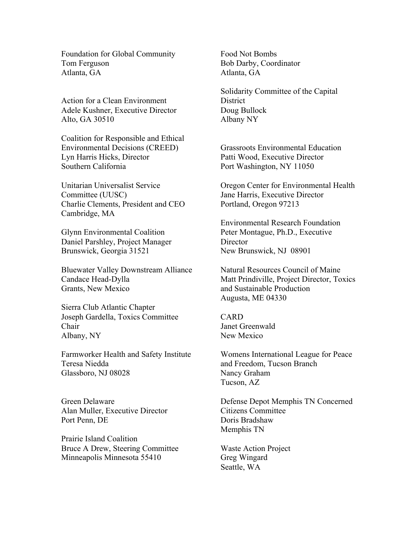Foundation for Global Community Tom Ferguson Atlanta, GA

Action for a Clean Environment Adele Kushner, Executive Director Alto, GA 30510

Coalition for Responsible and Ethical Environmental Decisions (CREED) Lyn Harris Hicks, Director Southern California

Unitarian Universalist Service Committee (UUSC) Charlie Clements, President and CEO Cambridge, MA

Glynn Environmental Coalition Daniel Parshley, Project Manager Brunswick, Georgia 31521

Bluewater Valley Downstream Alliance Candace Head-Dylla Grants, New Mexico

Sierra Club Atlantic Chapter Joseph Gardella, Toxics Committee Chair Albany, NY

Farmworker Health and Safety Institute Teresa Niedda Glassboro, NJ 08028

Green Delaware Alan Muller, Executive Director Port Penn, DE

Prairie Island Coalition Bruce A Drew, Steering Committee Minneapolis Minnesota 55410

Food Not Bombs Bob Darby, Coordinator Atlanta, GA

Solidarity Committee of the Capital **District** Doug Bullock Albany NY

Grassroots Environmental Education Patti Wood, Executive Director Port Washington, NY 11050

Oregon Center for Environmental Health Jane Harris, Executive Director Portland, Oregon 97213

Environmental Research Foundation Peter Montague, Ph.D., Executive **Director** New Brunswick, NJ 08901

Natural Resources Council of Maine Matt Prindiville, Project Director, Toxics and Sustainable Production Augusta, ME 04330

CARD Janet Greenwald New Mexico

Womens International League for Peace and Freedom, Tucson Branch Nancy Graham Tucson, AZ

Defense Depot Memphis TN Concerned Citizens Committee Doris Bradshaw Memphis TN

Waste Action Project Greg Wingard Seattle, WA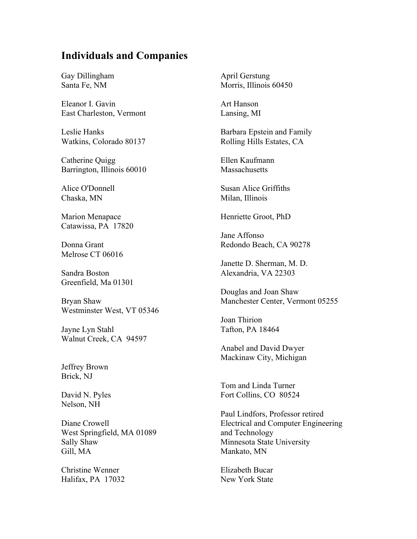# **Individuals and Companies**

Gay Dillingham Santa Fe, NM

Eleanor I. Gavin East Charleston, Vermont

Leslie Hanks Watkins, Colorado 80137

Catherine Quigg Barrington, Illinois 60010

Alice O'Donnell Chaska, MN

Marion Menapace Catawissa, PA 17820

Donna Grant Melrose CT 06016

Sandra Boston Greenfield, Ma 01301

Bryan Shaw Westminster West, VT 05346

Jayne Lyn Stahl Walnut Creek, CA 94597

Jeffrey Brown Brick, NJ

David N. Pyles Nelson, NH

Diane Crowell West Springfield, MA 01089 Sally Shaw Gill, MA

Christine Wenner Halifax, PA 17032 April Gerstung Morris, Illinois 60450

Art Hanson Lansing, MI

Barbara Epstein and Family Rolling Hills Estates, CA

Ellen Kaufmann **Massachusetts** 

Susan Alice Griffiths Milan, Illinois

Henriette Groot, PhD

Jane Affonso Redondo Beach, CA 90278

Janette D. Sherman, M. D. Alexandria, VA 22303

Douglas and Joan Shaw Manchester Center, Vermont 05255

Joan Thirion Tafton, PA 18464

Anabel and David Dwyer Mackinaw City, Michigan

Tom and Linda Turner Fort Collins, CO 80524

Paul Lindfors, Professor retired Electrical and Computer Engineering and Technology Minnesota State University Mankato, MN

Elizabeth Bucar New York State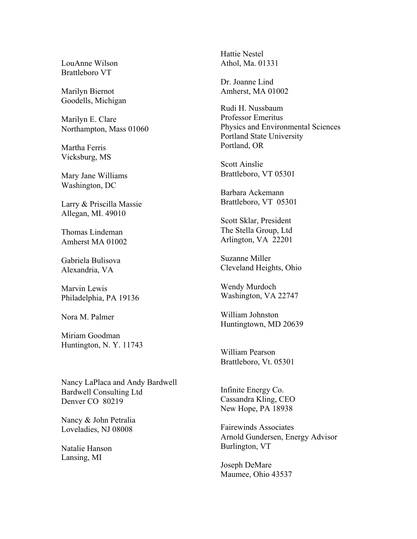LouAnne Wilson Brattleboro VT

Marilyn Biernot Goodells, Michigan

Marilyn E. Clare Northampton, Mass 01060

Martha Ferris Vicksburg, MS

Mary Jane Williams Washington, DC

Larry & Priscilla Massie Allegan, MI. 49010

Thomas Lindeman Amherst MA 01002

Gabriela Bulisova Alexandria, VA

Marvin Lewis Philadelphia, PA 19136

Nora M. Palmer

Miriam Goodman Huntington, N. Y. 11743

Nancy LaPlaca and Andy Bardwell Bardwell Consulting Ltd Denver CO 80219

Nancy & John Petralia Loveladies, NJ 08008

Natalie Hanson Lansing, MI

Hattie Nestel Athol, Ma. 01331

Dr. Joanne Lind Amherst, MA 01002

Rudi H. Nussbaum Professor Emeritus Physics and Environmental Sciences Portland State University Portland, OR

Scott Ainslie Brattleboro, VT 05301

Barbara Ackemann Brattleboro, VT 05301

Scott Sklar, President The Stella Group, Ltd Arlington, VA 22201

Suzanne Miller Cleveland Heights, Ohio

Wendy Murdoch Washington, VA 22747

William Johnston Huntingtown, MD 20639

William Pearson Brattleboro, Vt. 05301

Infinite Energy Co. Cassandra Kling, CEO New Hope, PA 18938

Fairewinds Associates Arnold Gundersen, Energy Advisor Burlington, VT

Joseph DeMare Maumee, Ohio 43537